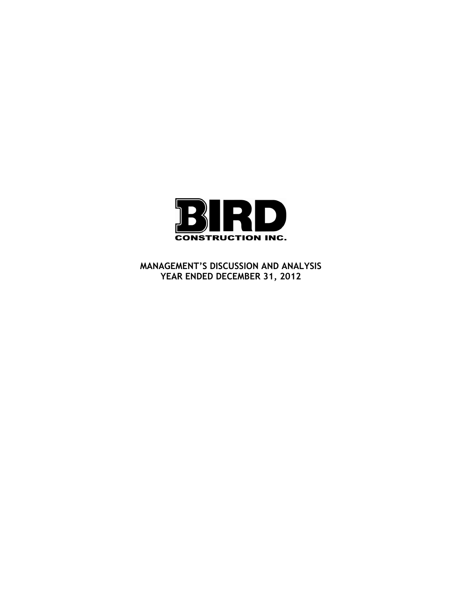

**MANAGEMENT'S DISCUSSION AND ANALYSIS YEAR ENDED DECEMBER 31, 2012**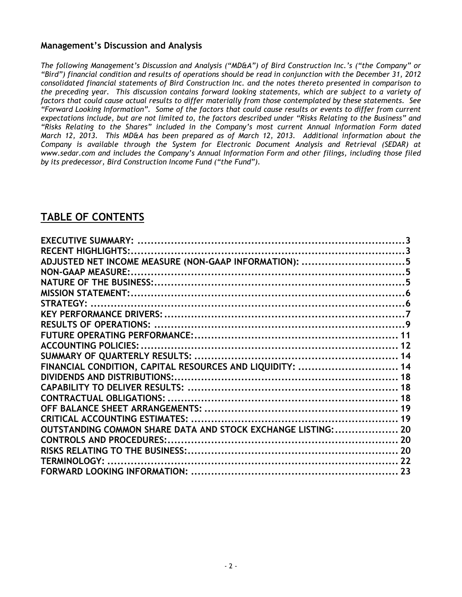# **Management's Discussion and Analysis**

*The following Management's Discussion and Analysis ("MD&A") of Bird Construction Inc.'s ("the Company" or "Bird") financial condition and results of operations should be read in conjunction with the December 31, 2012 consolidated financial statements of Bird Construction Inc. and the notes thereto presented in comparison to the preceding year. This discussion contains forward looking statements, which are subject to a variety of factors that could cause actual results to differ materially from those contemplated by these statements. See "Forward Looking Information". Some of the factors that could cause results or events to differ from current expectations include, but are not limited to, the factors described under "Risks Relating to the Business" and "Risks Relating to the Shares" included in the Company's most current Annual Information Form dated March 12, 2013. This MD&A has been prepared as of March 12, 2013. Additional information about the Company is available through the System for Electronic Document Analysis and Retrieval (SEDAR) at www.sedar.com and includes the Company's Annual Information Form and other filings, including those filed by its predecessor, Bird Construction Income Fund ("the Fund").* 

# **TABLE OF CONTENTS**

| ADJUSTED NET INCOME MEASURE (NON-GAAP INFORMATION): 5         |  |
|---------------------------------------------------------------|--|
|                                                               |  |
|                                                               |  |
|                                                               |  |
|                                                               |  |
|                                                               |  |
|                                                               |  |
|                                                               |  |
|                                                               |  |
|                                                               |  |
| FINANCIAL CONDITION, CAPITAL RESOURCES AND LIQUIDITY:  14     |  |
|                                                               |  |
|                                                               |  |
|                                                               |  |
|                                                               |  |
|                                                               |  |
| OUTSTANDING COMMON SHARE DATA AND STOCK EXCHANGE LISTING:  20 |  |
| <b>CONTROLS AND PROCEDURES:.</b>                              |  |
|                                                               |  |
|                                                               |  |
|                                                               |  |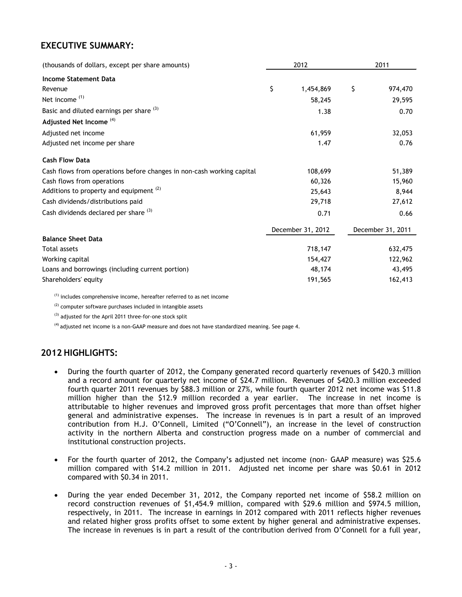# **EXECUTIVE SUMMARY:**

| (thousands of dollars, except per share amounts)                      | 2012              | 2011              |
|-----------------------------------------------------------------------|-------------------|-------------------|
| <b>Income Statement Data</b>                                          |                   |                   |
| Revenue                                                               | \$<br>1,454,869   | \$<br>974,470     |
| Net income <sup>(1)</sup>                                             | 58,245            | 29,595            |
| Basic and diluted earnings per share (3)                              | 1.38              | 0.70              |
| Adjusted Net Income <sup>(4)</sup>                                    |                   |                   |
| Adjusted net income                                                   | 61,959            | 32,053            |
| Adjusted net income per share                                         | 1.47              | 0.76              |
| <b>Cash Flow Data</b>                                                 |                   |                   |
| Cash flows from operations before changes in non-cash working capital | 108,699           | 51,389            |
| Cash flows from operations                                            | 60,326            | 15,960            |
| Additions to property and equipment <sup>(2)</sup>                    | 25,643            | 8,944             |
| Cash dividends/distributions paid                                     | 29,718            | 27,612            |
| Cash dividends declared per share (3)                                 | 0.71              | 0.66              |
|                                                                       | December 31, 2012 | December 31, 2011 |
| <b>Balance Sheet Data</b>                                             |                   |                   |
| <b>Total assets</b>                                                   | 718,147           | 632,475           |
| Working capital                                                       | 154,427           | 122,962           |
| Loans and borrowings (including current portion)                      | 48,174            | 43,495            |
| Shareholders' equity                                                  | 191,565           | 162,413           |

 $(1)$  includes comprehensive income, hereafter referred to as net income

<sup>(2)</sup> computer software purchases included in intangible assets

(3) adjusted for the April 2011 three-for-one stock split

(4) adjusted net income is a non-GAAP measure and does not have standardized meaning. See page 4.

# **2012 HIGHLIGHTS:**

- During the fourth quarter of 2012, the Company generated record quarterly revenues of \$420.3 million and a record amount for quarterly net income of \$24.7 million. Revenues of \$420.3 million exceeded fourth quarter 2011 revenues by \$88.3 million or 27%, while fourth quarter 2012 net income was \$11.8 million higher than the \$12.9 million recorded a year earlier. The increase in net income is attributable to higher revenues and improved gross profit percentages that more than offset higher general and administrative expenses. The increase in revenues is in part a result of an improved contribution from H.J. O'Connell, Limited ("O'Connell"), an increase in the level of construction activity in the northern Alberta and construction progress made on a number of commercial and institutional construction projects.
- For the fourth quarter of 2012, the Company's adjusted net income (non- GAAP measure) was \$25.6 million compared with \$14.2 million in 2011. Adjusted net income per share was \$0.61 in 2012 compared with \$0.34 in 2011.
- During the year ended December 31, 2012, the Company reported net income of \$58.2 million on record construction revenues of \$1,454.9 million, compared with \$29.6 million and \$974.5 million, respectively, in 2011. The increase in earnings in 2012 compared with 2011 reflects higher revenues and related higher gross profits offset to some extent by higher general and administrative expenses. The increase in revenues is in part a result of the contribution derived from O'Connell for a full year,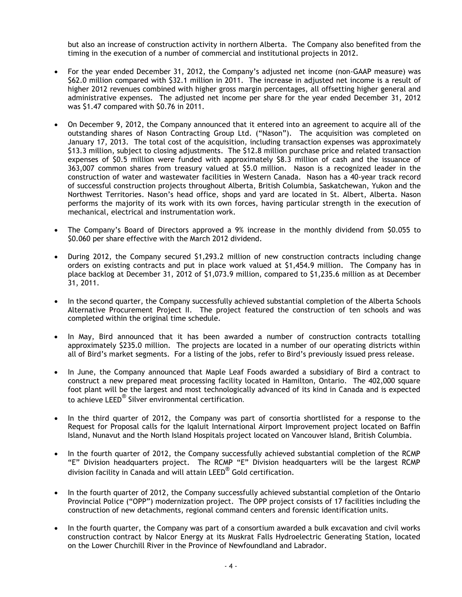but also an increase of construction activity in northern Alberta. The Company also benefited from the timing in the execution of a number of commercial and institutional projects in 2012.

- For the year ended December 31, 2012, the Company's adjusted net income (non-GAAP measure) was \$62.0 million compared with \$32.1 million in 2011. The increase in adjusted net income is a result of higher 2012 revenues combined with higher gross margin percentages, all offsetting higher general and administrative expenses. The adjusted net income per share for the year ended December 31, 2012 was \$1.47 compared with \$0.76 in 2011.
- On December 9, 2012, the Company announced that it entered into an agreement to acquire all of the outstanding shares of Nason Contracting Group Ltd. ("Nason"). The acquisition was completed on January 17, 2013. The total cost of the acquisition, including transaction expenses was approximately \$13.3 million, subject to closing adjustments. The \$12.8 million purchase price and related transaction expenses of \$0.5 million were funded with approximately \$8.3 million of cash and the issuance of 363,007 common shares from treasury valued at \$5.0 million. Nason is a recognized leader in the construction of water and wastewater facilities in Western Canada. Nason has a 40-year track record of successful construction projects throughout Alberta, British Columbia, Saskatchewan, Yukon and the Northwest Territories. Nason's head office, shops and yard are located in St. Albert, Alberta. Nason performs the majority of its work with its own forces, having particular strength in the execution of mechanical, electrical and instrumentation work.
- The Company's Board of Directors approved a 9% increase in the monthly dividend from \$0.055 to \$0.060 per share effective with the March 2012 dividend.
- During 2012, the Company secured \$1,293.2 million of new construction contracts including change orders on existing contracts and put in place work valued at \$1,454.9 million. The Company has in place backlog at December 31, 2012 of \$1,073.9 million, compared to \$1,235.6 million as at December 31, 2011.
- In the second quarter, the Company successfully achieved substantial completion of the Alberta Schools Alternative Procurement Project II. The project featured the construction of ten schools and was completed within the original time schedule.
- In May, Bird announced that it has been awarded a number of construction contracts totalling approximately \$235.0 million. The projects are located in a number of our operating districts within all of Bird's market segments. For a listing of the jobs, refer to Bird's previously issued press release.
- In June, the Company announced that Maple Leaf Foods awarded a subsidiary of Bird a contract to construct a new prepared meat processing facility located in Hamilton, Ontario. The 402,000 square foot plant will be the largest and most technologically advanced of its kind in Canada and is expected to achieve LEED® Silver environmental certification.
- In the third quarter of 2012, the Company was part of consortia shortlisted for a response to the Request for Proposal calls for the Iqaluit International Airport Improvement project located on Baffin Island, Nunavut and the North Island Hospitals project located on Vancouver Island, British Columbia.
- In the fourth quarter of 2012, the Company successfully achieved substantial completion of the RCMP "E" Division headquarters project. The RCMP "E" Division headquarters will be the largest RCMP division facility in Canada and will attain LEED® Gold certification.
- In the fourth quarter of 2012, the Company successfully achieved substantial completion of the Ontario Provincial Police ("OPP") modernization project. The OPP project consists of 17 facilities including the construction of new detachments, regional command centers and forensic identification units.
- In the fourth quarter, the Company was part of a consortium awarded a bulk excavation and civil works construction contract by Nalcor Energy at its Muskrat Falls Hydroelectric Generating Station, located on the Lower Churchill River in the Province of Newfoundland and Labrador.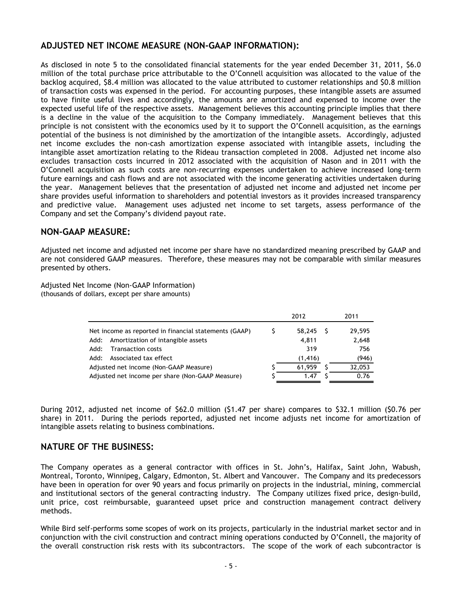# **ADJUSTED NET INCOME MEASURE (NON-GAAP INFORMATION):**

As disclosed in note 5 to the consolidated financial statements for the year ended December 31, 2011, \$6.0 million of the total purchase price attributable to the O'Connell acquisition was allocated to the value of the backlog acquired, \$8.4 million was allocated to the value attributed to customer relationships and \$0.8 million of transaction costs was expensed in the period. For accounting purposes, these intangible assets are assumed to have finite useful lives and accordingly, the amounts are amortized and expensed to income over the expected useful life of the respective assets. Management believes this accounting principle implies that there is a decline in the value of the acquisition to the Company immediately. Management believes that this principle is not consistent with the economics used by it to support the O'Connell acquisition, as the earnings potential of the business is not diminished by the amortization of the intangible assets. Accordingly, adjusted net income excludes the non-cash amortization expense associated with intangible assets, including the intangible asset amortization relating to the Rideau transaction completed in 2008. Adjusted net income also excludes transaction costs incurred in 2012 associated with the acquisition of Nason and in 2011 with the O'Connell acquisition as such costs are non-recurring expenses undertaken to achieve increased long-term future earnings and cash flows and are not associated with the income generating activities undertaken during the year. Management believes that the presentation of adjusted net income and adjusted net income per share provides useful information to shareholders and potential investors as it provides increased transparency and predictive value. Management uses adjusted net income to set targets, assess performance of the Company and set the Company's dividend payout rate.

# **NON-GAAP MEASURE:**

Adjusted net income and adjusted net income per share have no standardized meaning prescribed by GAAP and are not considered GAAP measures. Therefore, these measures may not be comparable with similar measures presented by others.

Adjusted Net Income (Non-GAAP Information) (thousands of dollars, except per share amounts)

|                                                       | 2012 |          |  | 2011   |
|-------------------------------------------------------|------|----------|--|--------|
| Net income as reported in financial statements (GAAP) |      | 58,245   |  | 29,595 |
| Amortization of intangible assets<br>Add:             |      | 4,811    |  | 2,648  |
| <b>Transaction costs</b><br>Add:                      |      | 319      |  | 756    |
| Associated tax effect<br>Add:                         |      | (1, 416) |  | (946)  |
| Adjusted net income (Non-GAAP Measure)                |      | 61,959   |  | 32,053 |
| Adjusted net income per share (Non-GAAP Measure)      |      | 1.47     |  | 0.76   |

During 2012, adjusted net income of \$62.0 million (\$1.47 per share) compares to \$32.1 million (\$0.76 per share) in 2011. During the periods reported, adjusted net income adjusts net income for amortization of intangible assets relating to business combinations.

### **NATURE OF THE BUSINESS:**

The Company operates as a general contractor with offices in St. John's, Halifax, Saint John, Wabush, Montreal, Toronto, Winnipeg, Calgary, Edmonton, St. Albert and Vancouver. The Company and its predecessors have been in operation for over 90 years and focus primarily on projects in the industrial, mining, commercial and institutional sectors of the general contracting industry. The Company utilizes fixed price, design-build, unit price, cost reimbursable, guaranteed upset price and construction management contract delivery methods.

While Bird self-performs some scopes of work on its projects, particularly in the industrial market sector and in conjunction with the civil construction and contract mining operations conducted by O'Connell, the majority of the overall construction risk rests with its subcontractors. The scope of the work of each subcontractor is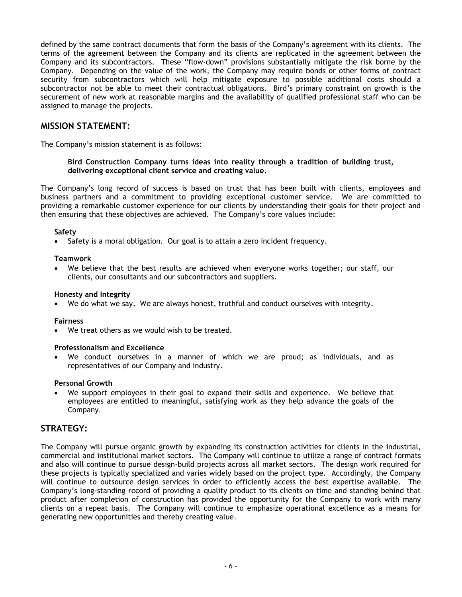defined by the same contract documents that form the basis of the Company's agreement with its clients. The terms of the agreement between the Company and its clients are replicated in the agreement between the Company and its subcontractors. These "flow-down" provisions substantially mitigate the risk borne by the Company. Depending on the value of the work, the Company may require bonds or other forms of contract security from subcontractors which will help mitigate exposure to possible additional costs should a subcontractor not be able to meet their contractual obligations. Bird's primary constraint on growth is the securement of new work at reasonable margins and the availability of qualified professional staff who can be assigned to manage the projects.

# **MISSION STATEMENT:**

The Company's mission statement is as follows:

### **Bird Construction Company turns ideas into reality through a tradition of building trust, delivering exceptional client service and creating value.**

The Company's long record of success is based on trust that has been built with clients, employees and business partners and a commitment to providing exceptional customer service. We are committed to providing a remarkable customer experience for our clients by understanding their goals for their project and then ensuring that these objectives are achieved. The Company's core values include:

### **Safety**

Safety is a moral obligation. Our goal is to attain a zero incident frequency.

### **Teamwork**

• We believe that the best results are achieved when everyone works together; our staff, our clients, our consultants and our subcontractors and suppliers.

### **Honesty and Integrity**

• We do what we say. We are always honest, truthful and conduct ourselves with integrity.

### **Fairness**

• We treat others as we would wish to be treated.

#### **Professionalism and Excellence**

• We conduct ourselves in a manner of which we are proud; as individuals, and as representatives of our Company and industry.

#### **Personal Growth**

We support employees in their goal to expand their skills and experience. We believe that employees are entitled to meaningful, satisfying work as they help advance the goals of the Company.

### **STRATEGY:**

The Company will pursue organic growth by expanding its construction activities for clients in the industrial, commercial and institutional market sectors. The Company will continue to utilize a range of contract formats and also will continue to pursue design-build projects across all market sectors. The design work required for these projects is typically specialized and varies widely based on the project type. Accordingly, the Company will continue to outsource design services in order to efficiently access the best expertise available. The Company's long-standing record of providing a quality product to its clients on time and standing behind that product after completion of construction has provided the opportunity for the Company to work with many clients on a repeat basis. The Company will continue to emphasize operational excellence as a means for generating new opportunities and thereby creating value.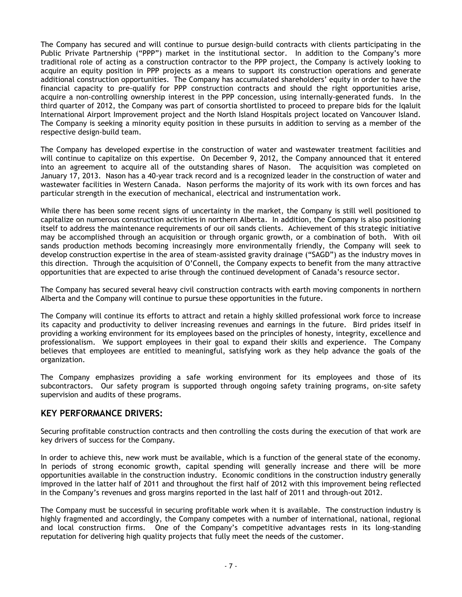The Company has secured and will continue to pursue design-build contracts with clients participating in the Public Private Partnership ("PPP") market in the institutional sector. In addition to the Company's more traditional role of acting as a construction contractor to the PPP project, the Company is actively looking to acquire an equity position in PPP projects as a means to support its construction operations and generate additional construction opportunities. The Company has accumulated shareholders' equity in order to have the financial capacity to pre-qualify for PPP construction contracts and should the right opportunities arise, acquire a non-controlling ownership interest in the PPP concession, using internally-generated funds. In the third quarter of 2012, the Company was part of consortia shortlisted to proceed to prepare bids for the Iqaluit International Airport Improvement project and the North Island Hospitals project located on Vancouver Island. The Company is seeking a minority equity position in these pursuits in addition to serving as a member of the respective design-build team.

The Company has developed expertise in the construction of water and wastewater treatment facilities and will continue to capitalize on this expertise. On December 9, 2012, the Company announced that it entered into an agreement to acquire all of the outstanding shares of Nason. The acquisition was completed on January 17, 2013. Nason has a 40-year track record and is a recognized leader in the construction of water and wastewater facilities in Western Canada. Nason performs the majority of its work with its own forces and has particular strength in the execution of mechanical, electrical and instrumentation work.

While there has been some recent signs of uncertainty in the market, the Company is still well positioned to capitalize on numerous construction activities in northern Alberta. In addition, the Company is also positioning itself to address the maintenance requirements of our oil sands clients. Achievement of this strategic initiative may be accomplished through an acquisition or through organic growth, or a combination of both. With oil sands production methods becoming increasingly more environmentally friendly, the Company will seek to develop construction expertise in the area of steam-assisted gravity drainage ("SAGD") as the industry moves in this direction. Through the acquisition of O'Connell, the Company expects to benefit from the many attractive opportunities that are expected to arise through the continued development of Canada's resource sector.

The Company has secured several heavy civil construction contracts with earth moving components in northern Alberta and the Company will continue to pursue these opportunities in the future.

The Company will continue its efforts to attract and retain a highly skilled professional work force to increase its capacity and productivity to deliver increasing revenues and earnings in the future. Bird prides itself in providing a working environment for its employees based on the principles of honesty, integrity, excellence and professionalism. We support employees in their goal to expand their skills and experience. The Company believes that employees are entitled to meaningful, satisfying work as they help advance the goals of the organization.

The Company emphasizes providing a safe working environment for its employees and those of its subcontractors. Our safety program is supported through ongoing safety training programs, on-site safety supervision and audits of these programs.

### **KEY PERFORMANCE DRIVERS:**

Securing profitable construction contracts and then controlling the costs during the execution of that work are key drivers of success for the Company.

In order to achieve this, new work must be available, which is a function of the general state of the economy. In periods of strong economic growth, capital spending will generally increase and there will be more opportunities available in the construction industry. Economic conditions in the construction industry generally improved in the latter half of 2011 and throughout the first half of 2012 with this improvement being reflected in the Company's revenues and gross margins reported in the last half of 2011 and through-out 2012.

The Company must be successful in securing profitable work when it is available. The construction industry is highly fragmented and accordingly, the Company competes with a number of international, national, regional and local construction firms. One of the Company's competitive advantages rests in its long-standing reputation for delivering high quality projects that fully meet the needs of the customer.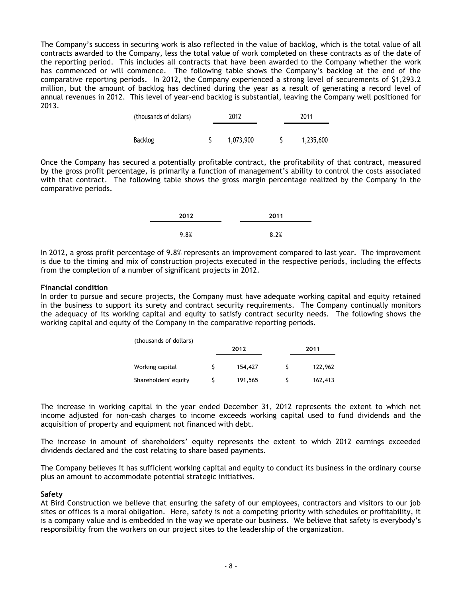The Company's success in securing work is also reflected in the value of backlog, which is the total value of all contracts awarded to the Company, less the total value of work completed on these contracts as of the date of the reporting period. This includes all contracts that have been awarded to the Company whether the work has commenced or will commence. The following table shows the Company's backlog at the end of the comparative reporting periods. In 2012, the Company experienced a strong level of securements of \$1,293.2 million, but the amount of backlog has declined during the year as a result of generating a record level of annual revenues in 2012. This level of year-end backlog is substantial, leaving the Company well positioned for 2013.

| (thousands of dollars) | 2012 |           | 2011      |
|------------------------|------|-----------|-----------|
|                        |      |           |           |
| Backlog                |      | 1,073,900 | 1,235,600 |

Once the Company has secured a potentially profitable contract, the profitability of that contract, measured by the gross profit percentage, is primarily a function of management's ability to control the costs associated with that contract. The following table shows the gross margin percentage realized by the Company in the comparative periods.

| 2012 | 2011 |
|------|------|
| 9.8% | 8.2% |

In 2012, a gross profit percentage of 9.8% represents an improvement compared to last year. The improvement is due to the timing and mix of construction projects executed in the respective periods, including the effects from the completion of a number of significant projects in 2012.

### **Financial condition**

In order to pursue and secure projects, the Company must have adequate working capital and equity retained in the business to support its surety and contract security requirements. The Company continually monitors the adequacy of its working capital and equity to satisfy contract security needs. The following shows the working capital and equity of the Company in the comparative reporting periods.

| (thousands of dollars) |         |         |
|------------------------|---------|---------|
|                        | 2012    | 2011    |
| Working capital        | 154,427 | 122,962 |
| Shareholders' equity   | 191,565 | 162,413 |

The increase in working capital in the year ended December 31, 2012 represents the extent to which net income adjusted for non-cash charges to income exceeds working capital used to fund dividends and the acquisition of property and equipment not financed with debt.

The increase in amount of shareholders' equity represents the extent to which 2012 earnings exceeded dividends declared and the cost relating to share based payments.

The Company believes it has sufficient working capital and equity to conduct its business in the ordinary course plus an amount to accommodate potential strategic initiatives.

#### **Safety**

At Bird Construction we believe that ensuring the safety of our employees, contractors and visitors to our job sites or offices is a moral obligation. Here, safety is not a competing priority with schedules or profitability, it is a company value and is embedded in the way we operate our business. We believe that safety is everybody's responsibility from the workers on our project sites to the leadership of the organization.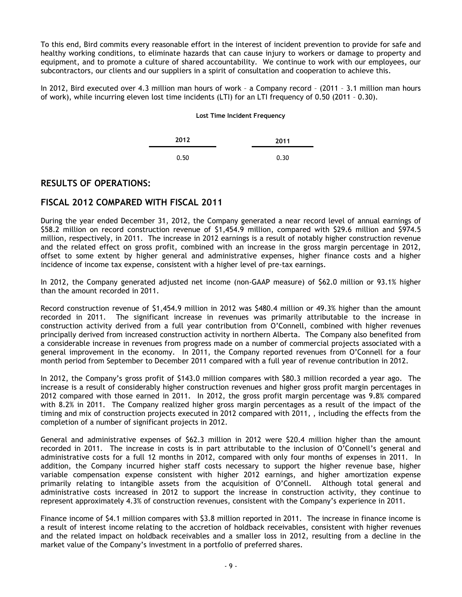To this end, Bird commits every reasonable effort in the interest of incident prevention to provide for safe and healthy working conditions, to eliminate hazards that can cause injury to workers or damage to property and equipment, and to promote a culture of shared accountability. We continue to work with our employees, our subcontractors, our clients and our suppliers in a spirit of consultation and cooperation to achieve this.

In 2012, Bird executed over 4.3 million man hours of work – a Company record – (2011 – 3.1 million man hours of work), while incurring eleven lost time incidents (LTI) for an LTI frequency of 0.50 (2011 – 0.30).

#### **Lost Time Incident Frequency**

| 2012 | 2011 |
|------|------|
| 0.50 | 0.30 |

### **RESULTS OF OPERATIONS:**

# **FISCAL 2012 COMPARED WITH FISCAL 2011**

During the year ended December 31, 2012, the Company generated a near record level of annual earnings of \$58.2 million on record construction revenue of \$1,454.9 million, compared with \$29.6 million and \$974.5 million, respectively, in 2011. The increase in 2012 earnings is a result of notably higher construction revenue and the related effect on gross profit, combined with an increase in the gross margin percentage in 2012, offset to some extent by higher general and administrative expenses, higher finance costs and a higher incidence of income tax expense, consistent with a higher level of pre-tax earnings.

In 2012, the Company generated adjusted net income (non-GAAP measure) of \$62.0 million or 93.1% higher than the amount recorded in 2011.

Record construction revenue of \$1,454.9 million in 2012 was \$480.4 million or 49.3% higher than the amount recorded in 2011. The significant increase in revenues was primarily attributable to the increase in construction activity derived from a full year contribution from O'Connell, combined with higher revenues principally derived from increased construction activity in northern Alberta. The Company also benefited from a considerable increase in revenues from progress made on a number of commercial projects associated with a general improvement in the economy. In 2011, the Company reported revenues from O'Connell for a four month period from September to December 2011 compared with a full year of revenue contribution in 2012.

In 2012, the Company's gross profit of \$143.0 million compares with \$80.3 million recorded a year ago. The increase is a result of considerably higher construction revenues and higher gross profit margin percentages in 2012 compared with those earned in 2011. In 2012, the gross profit margin percentage was 9.8% compared with 8.2% in 2011. The Company realized higher gross margin percentages as a result of the impact of the timing and mix of construction projects executed in 2012 compared with 2011, , including the effects from the completion of a number of significant projects in 2012.

General and administrative expenses of \$62.3 million in 2012 were \$20.4 million higher than the amount recorded in 2011. The increase in costs is in part attributable to the inclusion of O'Connell's general and administrative costs for a full 12 months in 2012, compared with only four months of expenses in 2011. In addition, the Company incurred higher staff costs necessary to support the higher revenue base, higher variable compensation expense consistent with higher 2012 earnings, and higher amortization expense primarily relating to intangible assets from the acquisition of O'Connell. Although total general and administrative costs increased in 2012 to support the increase in construction activity, they continue to represent approximately 4.3% of construction revenues, consistent with the Company's experience in 2011.

Finance income of \$4.1 million compares with \$3.8 million reported in 2011. The increase in finance income is a result of interest income relating to the accretion of holdback receivables, consistent with higher revenues and the related impact on holdback receivables and a smaller loss in 2012, resulting from a decline in the market value of the Company's investment in a portfolio of preferred shares.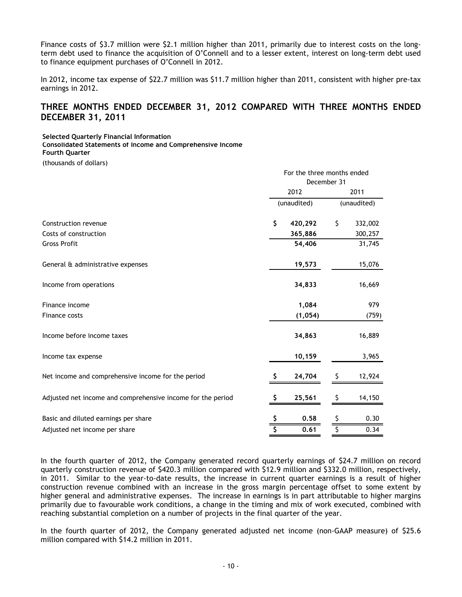Finance costs of \$3.7 million were \$2.1 million higher than 2011, primarily due to interest costs on the longterm debt used to finance the acquisition of O'Connell and to a lesser extent, interest on long-term debt used to finance equipment purchases of O'Connell in 2012.

In 2012, income tax expense of \$22.7 million was \$11.7 million higher than 2011, consistent with higher pre-tax earnings in 2012.

# **THREE MONTHS ENDED DECEMBER 31, 2012 COMPARED WITH THREE MONTHS ENDED DECEMBER 31, 2011**

**Selected Quarterly Financial Information**

**Consolidated Statements of Income and Comprehensive Income**

**Fourth Quarter**

(thousands of dollars)

|                                                             | For the three months ended<br>December 31 |             |    |             |
|-------------------------------------------------------------|-------------------------------------------|-------------|----|-------------|
|                                                             |                                           |             |    |             |
|                                                             | 2012                                      |             |    | 2011        |
|                                                             |                                           | (unaudited) |    | (unaudited) |
| Construction revenue                                        | \$                                        | 420,292     | \$ | 332,002     |
| Costs of construction                                       |                                           | 365,886     |    | 300,257     |
| <b>Gross Profit</b>                                         |                                           | 54,406      |    | 31,745      |
| General & administrative expenses                           |                                           | 19,573      |    | 15,076      |
| Income from operations                                      |                                           | 34,833      |    | 16,669      |
| Finance income                                              |                                           | 1,084       |    | 979         |
| Finance costs                                               |                                           | (1, 054)    |    | (759)       |
| Income before income taxes                                  |                                           | 34,863      |    | 16,889      |
| Income tax expense                                          |                                           | 10,159      |    | 3,965       |
| Net income and comprehensive income for the period          | S                                         | 24,704      | S  | 12,924      |
| Adjusted net income and comprehensive income for the period | S                                         | 25,561      | \$ | 14,150      |
| Basic and diluted earnings per share                        |                                           | 0.58        |    | 0.30        |
| Adjusted net income per share                               |                                           | 0.61        |    | 0.34        |

In the fourth quarter of 2012, the Company generated record quarterly earnings of \$24.7 million on record quarterly construction revenue of \$420.3 million compared with \$12.9 million and \$332.0 million, respectively, in 2011. Similar to the year-to-date results, the increase in current quarter earnings is a result of higher construction revenue combined with an increase in the gross margin percentage offset to some extent by higher general and administrative expenses. The increase in earnings is in part attributable to higher margins primarily due to favourable work conditions, a change in the timing and mix of work executed, combined with reaching substantial completion on a number of projects in the final quarter of the year.

In the fourth quarter of 2012, the Company generated adjusted net income (non-GAAP measure) of \$25.6 million compared with \$14.2 million in 2011.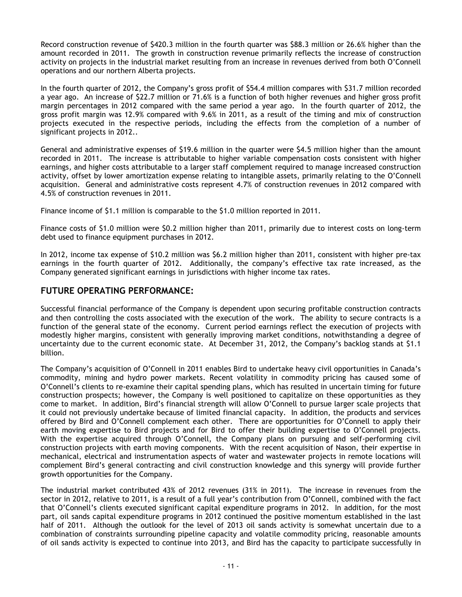Record construction revenue of \$420.3 million in the fourth quarter was \$88.3 million or 26.6% higher than the amount recorded in 2011. The growth in construction revenue primarily reflects the increase of construction activity on projects in the industrial market resulting from an increase in revenues derived from both O'Connell operations and our northern Alberta projects.

In the fourth quarter of 2012, the Company's gross profit of \$54.4 million compares with \$31.7 million recorded a year ago. An increase of \$22.7 million or 71.6% is a function of both higher revenues and higher gross profit margin percentages in 2012 compared with the same period a year ago. In the fourth quarter of 2012, the gross profit margin was 12.9% compared with 9.6% in 2011, as a result of the timing and mix of construction projects executed in the respective periods, including the effects from the completion of a number of significant projects in 2012..

General and administrative expenses of \$19.6 million in the quarter were \$4.5 million higher than the amount recorded in 2011. The increase is attributable to higher variable compensation costs consistent with higher earnings, and higher costs attributable to a larger staff complement required to manage increased construction activity, offset by lower amortization expense relating to intangible assets, primarily relating to the O'Connell acquisition. General and administrative costs represent 4.7% of construction revenues in 2012 compared with 4.5% of construction revenues in 2011.

Finance income of \$1.1 million is comparable to the \$1.0 million reported in 2011.

Finance costs of \$1.0 million were \$0.2 million higher than 2011, primarily due to interest costs on long-term debt used to finance equipment purchases in 2012.

In 2012, income tax expense of \$10.2 million was \$6.2 million higher than 2011, consistent with higher pre-tax earnings in the fourth quarter of 2012. Additionally, the company's effective tax rate increased, as the Company generated significant earnings in jurisdictions with higher income tax rates.

# **FUTURE OPERATING PERFORMANCE:**

Successful financial performance of the Company is dependent upon securing profitable construction contracts and then controlling the costs associated with the execution of the work. The ability to secure contracts is a function of the general state of the economy. Current period earnings reflect the execution of projects with modestly higher margins, consistent with generally improving market conditions, notwithstanding a degree of uncertainty due to the current economic state. At December 31, 2012, the Company's backlog stands at \$1.1 billion.

The Company's acquisition of O'Connell in 2011 enables Bird to undertake heavy civil opportunities in Canada's commodity, mining and hydro power markets. Recent volatility in commodity pricing has caused some of O'Connell's clients to re-examine their capital spending plans, which has resulted in uncertain timing for future construction prospects; however, the Company is well positioned to capitalize on these opportunities as they come to market. In addition, Bird's financial strength will allow O'Connell to pursue larger scale projects that it could not previously undertake because of limited financial capacity. In addition, the products and services offered by Bird and O'Connell complement each other. There are opportunities for O'Connell to apply their earth moving expertise to Bird projects and for Bird to offer their building expertise to O'Connell projects. With the expertise acquired through O'Connell, the Company plans on pursuing and self-performing civil construction projects with earth moving components. With the recent acquisition of Nason, their expertise in mechanical, electrical and instrumentation aspects of water and wastewater projects in remote locations will complement Bird's general contracting and civil construction knowledge and this synergy will provide further growth opportunities for the Company.

The industrial market contributed 43% of 2012 revenues (31% in 2011). The increase in revenues from the sector in 2012, relative to 2011, is a result of a full year's contribution from O'Connell, combined with the fact that O'Connell's clients executed significant capital expenditure programs in 2012. In addition, for the most part, oil sands capital expenditure programs in 2012 continued the positive momentum established in the last half of 2011. Although the outlook for the level of 2013 oil sands activity is somewhat uncertain due to a combination of constraints surrounding pipeline capacity and volatile commodity pricing, reasonable amounts of oil sands activity is expected to continue into 2013, and Bird has the capacity to participate successfully in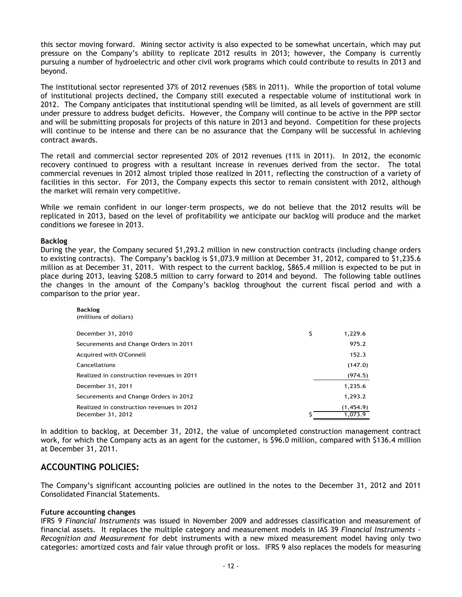this sector moving forward. Mining sector activity is also expected to be somewhat uncertain, which may put pressure on the Company's ability to replicate 2012 results in 2013; however, the Company is currently pursuing a number of hydroelectric and other civil work programs which could contribute to results in 2013 and beyond.

The institutional sector represented 37% of 2012 revenues (58% in 2011). While the proportion of total volume of institutional projects declined, the Company still executed a respectable volume of institutional work in 2012. The Company anticipates that institutional spending will be limited, as all levels of government are still under pressure to address budget deficits. However, the Company will continue to be active in the PPP sector and will be submitting proposals for projects of this nature in 2013 and beyond. Competition for these projects will continue to be intense and there can be no assurance that the Company will be successful in achieving contract awards.

The retail and commercial sector represented 20% of 2012 revenues (11% in 2011). In 2012, the economic recovery continued to progress with a resultant increase in revenues derived from the sector. The total commercial revenues in 2012 almost tripled those realized in 2011, reflecting the construction of a variety of facilities in this sector. For 2013, the Company expects this sector to remain consistent with 2012, although the market will remain very competitive.

While we remain confident in our longer-term prospects, we do not believe that the 2012 results will be replicated in 2013, based on the level of profitability we anticipate our backlog will produce and the market conditions we foresee in 2013.

#### **Backlog**

During the year, the Company secured \$1,293.2 million in new construction contracts (including change orders to existing contracts). The Company's backlog is \$1,073.9 million at December 31, 2012, compared to \$1,235.6 million as at December 31, 2011. With respect to the current backlog, \$865.4 million is expected to be put in place during 2013, leaving \$208.5 million to carry forward to 2014 and beyond. The following table outlines the changes in the amount of the Company's backlog throughout the current fiscal period and with a comparison to the prior year.

| <b>Backlog</b>        |
|-----------------------|
| (millions of dollars) |

| December 31, 2010                         | \$<br>1,229.6 |
|-------------------------------------------|---------------|
| Securements and Change Orders in 2011     | 975.2         |
| Acquired with O'Connell                   | 152.3         |
| Cancellations                             | (147.0)       |
| Realized in construction revenues in 2011 | (974.5)       |
| December 31, 2011                         | 1,235.6       |
| Securements and Change Orders in 2012     | 1,293.2       |
| Realized in construction revenues in 2012 | (1,454.9)     |
| December 31, 2012                         | 1,073.9       |

In addition to backlog, at December 31, 2012, the value of uncompleted construction management contract work, for which the Company acts as an agent for the customer, is \$96.0 million, compared with \$136.4 million at December 31, 2011.

### **ACCOUNTING POLICIES:**

The Company's significant accounting policies are outlined in the notes to the December 31, 2012 and 2011 Consolidated Financial Statements.

#### **Future accounting changes**

IFRS 9 *Financial Instruments* was issued in November 2009 and addresses classification and measurement of financial assets. It replaces the multiple category and measurement models in IAS 39 *Financial Instruments - Recognition and Measurement* for debt instruments with a new mixed measurement model having only two categories: amortized costs and fair value through profit or loss. IFRS 9 also replaces the models for measuring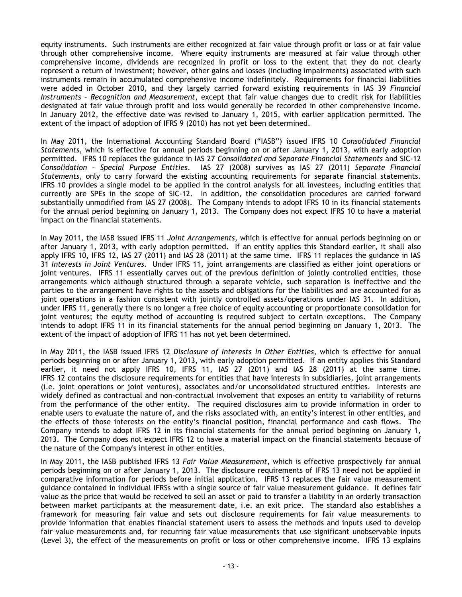equity instruments. Such instruments are either recognized at fair value through profit or loss or at fair value through other comprehensive income. Where equity instruments are measured at fair value through other comprehensive income, dividends are recognized in profit or loss to the extent that they do not clearly represent a return of investment; however, other gains and losses (including impairments) associated with such instruments remain in accumulated comprehensive income indefinitely. Requirements for financial liabilities were added in October 2010, and they largely carried forward existing requirements in IAS 39 *Financial Instruments – Recognition and Measurement*, except that fair value changes due to credit risk for liabilities designated at fair value through profit and loss would generally be recorded in other comprehensive income. In January 2012, the effective date was revised to January 1, 2015, with earlier application permitted. The extent of the impact of adoption of IFRS 9 (2010) has not yet been determined.

In May 2011, the International Accounting Standard Board ("IASB") issued IFRS 10 *Consolidated Financial Statements*, which is effective for annual periods beginning on or after January 1, 2013, with early adoption permitted. IFRS 10 replaces the guidance in IAS 27 *Consolidated and Separate Financial Statements* and SIC-12 *Consolidation – Special Purpose Entities*. IAS 27 (2008) survives as IAS 27 (2011) *Separate Financial Statements*, only to carry forward the existing accounting requirements for separate financial statements. IFRS 10 provides a single model to be applied in the control analysis for all investees, including entities that currently are SPEs in the scope of SIC-12. In addition, the consolidation procedures are carried forward substantially unmodified from IAS 27 (2008). The Company intends to adopt IFRS 10 in its financial statements for the annual period beginning on January 1, 2013. The Company does not expect IFRS 10 to have a material impact on the financial statements.

In May 2011, the IASB issued IFRS 11 *Joint Arrangements*, which is effective for annual periods beginning on or after January 1, 2013, with early adoption permitted. If an entity applies this Standard earlier, it shall also apply IFRS 10, IFRS 12, IAS 27 (2011) and IAS 28 (2011) at the same time. IFRS 11 replaces the guidance in IAS 31 *Interests in Joint Ventures*. Under IFRS 11, joint arrangements are classified as either joint operations or joint ventures. IFRS 11 essentially carves out of the previous definition of jointly controlled entities, those arrangements which although structured through a separate vehicle, such separation is ineffective and the parties to the arrangement have rights to the assets and obligations for the liabilities and are accounted for as joint operations in a fashion consistent with jointly controlled assets/operations under IAS 31. In addition, under IFRS 11, generally there is no longer a free choice of equity accounting or proportionate consolidation for joint ventures; the equity method of accounting is required subject to certain exceptions. The Company intends to adopt IFRS 11 in its financial statements for the annual period beginning on January 1, 2013. The extent of the impact of adoption of IFRS 11 has not yet been determined.

In May 2011, the IASB issued IFRS 12 *Disclosure of Interests in Other Entities*, which is effective for annual periods beginning on or after January 1, 2013, with early adoption permitted. If an entity applies this Standard earlier, it need not apply IFRS 10, IFRS 11, IAS 27 (2011) and IAS 28 (2011) at the same time. IFRS 12 contains the disclosure requirements for entities that have interests in subsidiaries, joint arrangements (i.e. joint operations or joint ventures), associates and/or unconsolidated structured entities. Interests are widely defined as contractual and non-contractual involvement that exposes an entity to variability of returns from the performance of the other entity. The required disclosures aim to provide information in order to enable users to evaluate the nature of, and the risks associated with, an entity's interest in other entities, and the effects of those interests on the entity's financial position, financial performance and cash flows. The Company intends to adopt IFRS 12 in its financial statements for the annual period beginning on January 1, 2013. The Company does not expect IFRS 12 to have a material impact on the financial statements because of the nature of the Company's interest in other entities.

In May 2011, the IASB published IFRS 13 *Fair Value Measurement*, which is effective prospectively for annual periods beginning on or after January 1, 2013. The disclosure requirements of IFRS 13 need not be applied in comparative information for periods before initial application. IFRS 13 replaces the fair value measurement guidance contained in individual IFRSs with a single source of fair value measurement guidance. It defines fair value as the price that would be received to sell an asset or paid to transfer a liability in an orderly transaction between market participants at the measurement date, i.e. an exit price. The standard also establishes a framework for measuring fair value and sets out disclosure requirements for fair value measurements to provide information that enables financial statement users to assess the methods and inputs used to develop fair value measurements and, for recurring fair value measurements that use significant unobservable inputs (Level 3), the effect of the measurements on profit or loss or other comprehensive income. IFRS 13 explains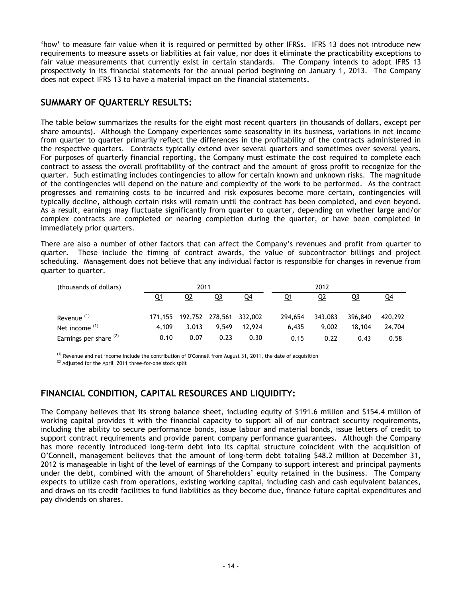'how' to measure fair value when it is required or permitted by other IFRSs. IFRS 13 does not introduce new requirements to measure assets or liabilities at fair value, nor does it eliminate the practicability exceptions to fair value measurements that currently exist in certain standards. The Company intends to adopt IFRS 13 prospectively in its financial statements for the annual period beginning on January 1, 2013. The Company does not expect IFRS 13 to have a material impact on the financial statements.

# **SUMMARY OF QUARTERLY RESULTS:**

The table below summarizes the results for the eight most recent quarters (in thousands of dollars, except per share amounts). Although the Company experiences some seasonality in its business, variations in net income from quarter to quarter primarily reflect the differences in the profitability of the contracts administered in the respective quarters. Contracts typically extend over several quarters and sometimes over several years. For purposes of quarterly financial reporting, the Company must estimate the cost required to complete each contract to assess the overall profitability of the contract and the amount of gross profit to recognize for the quarter. Such estimating includes contingencies to allow for certain known and unknown risks. The magnitude of the contingencies will depend on the nature and complexity of the work to be performed. As the contract progresses and remaining costs to be incurred and risk exposures become more certain, contingencies will typically decline, although certain risks will remain until the contract has been completed, and even beyond. As a result, earnings may fluctuate significantly from quarter to quarter, depending on whether large and/or complex contracts are completed or nearing completion during the quarter, or have been completed in immediately prior quarters.

There are also a number of other factors that can affect the Company's revenues and profit from quarter to quarter. These include the timing of contract awards, the value of subcontractor billings and project scheduling. Management does not believe that any individual factor is responsible for changes in revenue from quarter to quarter.

| (thousands of dollars) |           | 2011                            |       |        |         | 2012      |         |           |
|------------------------|-----------|---------------------------------|-------|--------|---------|-----------|---------|-----------|
|                        | <u>Q1</u> | Q2                              | Q3    | $Q_4$  | Q1      | <u>Q2</u> | Q3      | <u>Q4</u> |
| Revenue <sup>(1)</sup> |           | 171,155 192,752 278,561 332,002 |       |        | 294,654 | 343,083   | 396,840 | 420,292   |
| Net income $(1)$       | 4.109     | 3.013                           | 9.549 | 12.924 | 6.435   | 9.002     | 18,104  | 24,704    |
| Earnings per share (2) | 0.10      | 0.07                            | 0.23  | 0.30   | 0.15    | 0.22      | 0.43    | 0.58      |

(1) Revenue and net income include the contribution of O'Connell from August 31, 2011, the date of acquisition

 $(2)$  Adjusted for the April 2011 three-for-one stock split

# **FINANCIAL CONDITION, CAPITAL RESOURCES AND LIQUIDITY:**

The Company believes that its strong balance sheet, including equity of \$191.6 million and \$154.4 million of working capital provides it with the financial capacity to support all of our contract security requirements, including the ability to secure performance bonds, issue labour and material bonds, issue letters of credit to support contract requirements and provide parent company performance guarantees. Although the Company has more recently introduced long-term debt into its capital structure coincident with the acquisition of O'Connell, management believes that the amount of long-term debt totaling \$48.2 million at December 31, 2012 is manageable in light of the level of earnings of the Company to support interest and principal payments under the debt, combined with the amount of Shareholders' equity retained in the business. The Company expects to utilize cash from operations, existing working capital, including cash and cash equivalent balances, and draws on its credit facilities to fund liabilities as they become due, finance future capital expenditures and pay dividends on shares.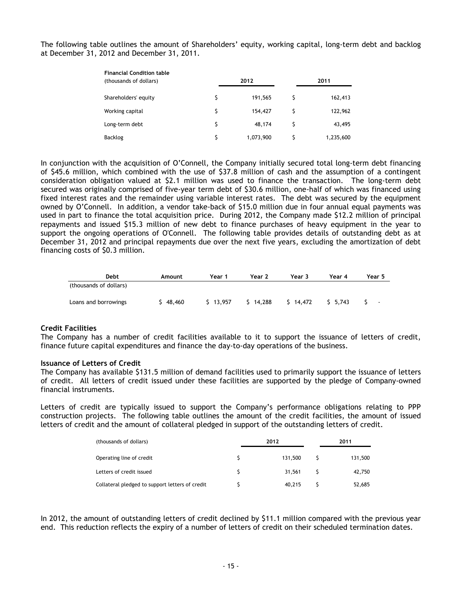The following table outlines the amount of Shareholders' equity, working capital, long-term debt and backlog at December 31, 2012 and December 31, 2011.

| <b>Financial Condition table</b><br>(thousands of dollars) |    | 2012      | 2011 |           |  |
|------------------------------------------------------------|----|-----------|------|-----------|--|
| Shareholders' equity                                       | \$ | 191,565   |      | 162,413   |  |
| Working capital                                            | \$ | 154,427   |      | 122,962   |  |
| Long-term debt                                             | \$ | 48,174    |      | 43,495    |  |
| Backlog                                                    | Ś  | 1,073,900 |      | 1,235,600 |  |

In conjunction with the acquisition of O'Connell, the Company initially secured total long-term debt financing of \$45.6 million, which combined with the use of \$37.8 million of cash and the assumption of a contingent consideration obligation valued at \$2.1 million was used to finance the transaction. The long-term debt secured was originally comprised of five-year term debt of \$30.6 million, one-half of which was financed using fixed interest rates and the remainder using variable interest rates. The debt was secured by the equipment owned by O'Connell. In addition, a vendor take-back of \$15.0 million due in four annual equal payments was used in part to finance the total acquisition price. During 2012, the Company made \$12.2 million of principal repayments and issued \$15.3 million of new debt to finance purchases of heavy equipment in the year to support the ongoing operations of O'Connell. The following table provides details of outstanding debt as at December 31, 2012 and principal repayments due over the next five years, excluding the amortization of debt financing costs of \$0.3 million.

| Debt                   | Amount   | Year 1     | Year 2 | Year 3       | Year 4 | Year 5         |
|------------------------|----------|------------|--------|--------------|--------|----------------|
| (thousands of dollars) |          |            |        |              |        |                |
| Loans and borrowings   | \$48,460 | $5$ 13.957 | 14.288 | $5 \t14.472$ | 5.743  | $\blacksquare$ |
|                        |          |            |        |              |        |                |

#### **Credit Facilities**

The Company has a number of credit facilities available to it to support the issuance of letters of credit, finance future capital expenditures and finance the day-to-day operations of the business.

#### **Issuance of Letters of Credit**

The Company has available \$131.5 million of demand facilities used to primarily support the issuance of letters of credit. All letters of credit issued under these facilities are supported by the pledge of Company-owned financial instruments.

Letters of credit are typically issued to support the Company's performance obligations relating to PPP construction projects. The following table outlines the amount of the credit facilities, the amount of issued letters of credit and the amount of collateral pledged in support of the outstanding letters of credit.

| (thousands of dollars)                          | 2012    | 2011    |
|-------------------------------------------------|---------|---------|
| Operating line of credit                        | 131.500 | 131,500 |
| Letters of credit issued                        | 31,561  | 42,750  |
| Collateral pledged to support letters of credit | 40.215  | 52,685  |

In 2012, the amount of outstanding letters of credit declined by \$11.1 million compared with the previous year end. This reduction reflects the expiry of a number of letters of credit on their scheduled termination dates.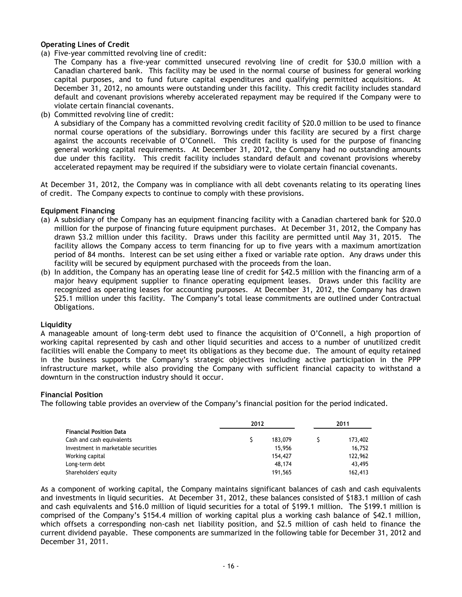#### **Operating Lines of Credit**

(a) Five-year committed revolving line of credit:

The Company has a five-year committed unsecured revolving line of credit for \$30.0 million with a Canadian chartered bank. This facility may be used in the normal course of business for general working capital purposes, and to fund future capital expenditures and qualifying permitted acquisitions. At December 31, 2012, no amounts were outstanding under this facility. This credit facility includes standard default and covenant provisions whereby accelerated repayment may be required if the Company were to violate certain financial covenants.

(b) Committed revolving line of credit:

A subsidiary of the Company has a committed revolving credit facility of \$20.0 million to be used to finance normal course operations of the subsidiary. Borrowings under this facility are secured by a first charge against the accounts receivable of O'Connell. This credit facility is used for the purpose of financing general working capital requirements. At December 31, 2012, the Company had no outstanding amounts due under this facility. This credit facility includes standard default and covenant provisions whereby accelerated repayment may be required if the subsidiary were to violate certain financial covenants.

At December 31, 2012, the Company was in compliance with all debt covenants relating to its operating lines of credit. The Company expects to continue to comply with these provisions.

#### **Equipment Financing**

- (a) A subsidiary of the Company has an equipment financing facility with a Canadian chartered bank for \$20.0 million for the purpose of financing future equipment purchases. At December 31, 2012, the Company has drawn \$3.2 million under this facility. Draws under this facility are permitted until May 31, 2015. The facility allows the Company access to term financing for up to five years with a maximum amortization period of 84 months. Interest can be set using either a fixed or variable rate option. Any draws under this facility will be secured by equipment purchased with the proceeds from the loan.
- (b) In addition, the Company has an operating lease line of credit for \$42.5 million with the financing arm of a major heavy equipment supplier to finance operating equipment leases. Draws under this facility are recognized as operating leases for accounting purposes. At December 31, 2012, the Company has drawn \$25.1 million under this facility. The Company's total lease commitments are outlined under Contractual Obligations.

#### **Liquidity**

A manageable amount of long-term debt used to finance the acquisition of O'Connell, a high proportion of working capital represented by cash and other liquid securities and access to a number of unutilized credit facilities will enable the Company to meet its obligations as they become due. The amount of equity retained in the business supports the Company's strategic objectives including active participation in the PPP infrastructure market, while also providing the Company with sufficient financial capacity to withstand a downturn in the construction industry should it occur.

#### **Financial Position**

The following table provides an overview of the Company's financial position for the period indicated.

|                                     | 2012 |         | 2011 |         |
|-------------------------------------|------|---------|------|---------|
| Financial Position Data             |      |         |      |         |
| Cash and cash equivalents           |      | 183,079 |      | 173,402 |
| Investment in marketable securities |      | 15.956  |      | 16.752  |
| Working capital                     |      | 154,427 |      | 122,962 |
| Long-term debt                      |      | 48,174  |      | 43.495  |
| Shareholders' equity                |      | 191.565 |      | 162,413 |

As a component of working capital, the Company maintains significant balances of cash and cash equivalents and investments in liquid securities. At December 31, 2012, these balances consisted of \$183.1 million of cash and cash equivalents and \$16.0 million of liquid securities for a total of \$199.1 million. The \$199.1 million is comprised of the Company's \$154.4 million of working capital plus a working cash balance of \$42.1 million, which offsets a corresponding non-cash net liability position, and \$2.5 million of cash held to finance the current dividend payable. These components are summarized in the following table for December 31, 2012 and December 31, 2011.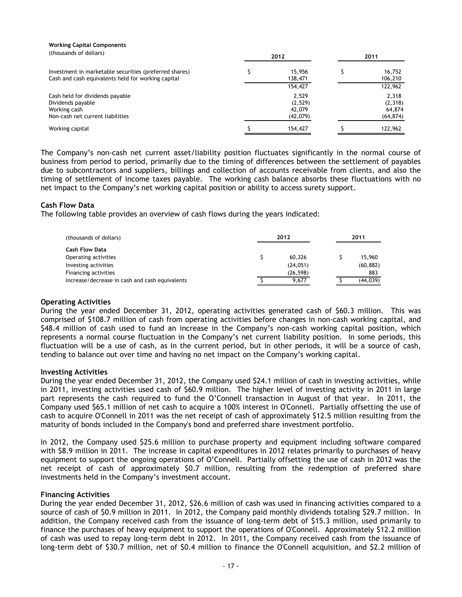| (thousands of dollars)                                                                                       | 2012 |                   | 2011 |                   |
|--------------------------------------------------------------------------------------------------------------|------|-------------------|------|-------------------|
| Investment in marketable securities (preferred shares)<br>Cash and cash equivalents held for working capital |      | 15.956<br>138,471 |      | 16,752<br>106,210 |
|                                                                                                              |      | 154,427           |      | 122,962           |
| Cash held for dividends payable                                                                              |      | 2,529             |      | 2,318             |
| Dividends payable                                                                                            |      | (2,529)           |      | (2,318)           |
| Working cash                                                                                                 |      | 42,079            |      | 64,874            |
| Non-cash net current liabilities                                                                             |      | (42,079)          |      | (64, 874)         |
| Working capital                                                                                              |      | 154,427           |      | 122,962           |

The Company's non-cash net current asset/liability position fluctuates significantly in the normal course of business from period to period, primarily due to the timing of differences between the settlement of payables due to subcontractors and suppliers, billings and collection of accounts receivable from clients, and also the timing of settlement of income taxes payable. The working cash balance absorbs these fluctuations with no net impact to the Company's net working capital position or ability to access surety support.

### **Cash Flow Data**

**Working Capital Components**

The following table provides an overview of cash flows during the years indicated:

| (thousands of dollars)                         |  | 2012      | 2011 |           |
|------------------------------------------------|--|-----------|------|-----------|
| <b>Cash Flow Data</b>                          |  |           |      |           |
| Operating activities                           |  | 60.326    |      | 15,960    |
| Investing activities                           |  | (24, 051) |      | (60, 882) |
| Financing activities                           |  | (26, 598) |      | 883       |
| Increase/decrease in cash and cash equivalents |  | 9.677     |      | (44, 039) |

#### **Operating Activities**

During the year ended December 31, 2012, operating activities generated cash of \$60.3 million. This was comprised of \$108.7 million of cash from operating activities before changes in non-cash working capital, and \$48.4 million of cash used to fund an increase in the Company's non-cash working capital position, which represents a normal course fluctuation in the Company's net current liability position. In some periods, this fluctuation will be a use of cash, as in the current period, but in other periods, it will be a source of cash, tending to balance out over time and having no net impact on the Company's working capital.

#### **Investing Activities**

During the year ended December 31, 2012, the Company used \$24.1 million of cash in investing activities, while in 2011, investing activities used cash of \$60.9 million. The higher level of investing activity in 2011 in large part represents the cash required to fund the O'Connell transaction in August of that year. In 2011, the Company used \$65.1 million of net cash to acquire a 100% interest in O'Connell. Partially offsetting the use of cash to acquire O'Connell in 2011 was the net receipt of cash of approximately \$12.5 million resulting from the maturity of bonds included in the Company's bond and preferred share investment portfolio.

In 2012, the Company used \$25.6 million to purchase property and equipment including software compared with \$8.9 million in 2011. The increase in capital expenditures in 2012 relates primarily to purchases of heavy equipment to support the ongoing operations of O'Connell. Partially offsetting the use of cash in 2012 was the net receipt of cash of approximately \$0.7 million, resulting from the redemption of preferred share investments held in the Company's investment account.

### **Financing Activities**

During the year ended December 31, 2012, \$26.6 million of cash was used in financing activities compared to a source of cash of \$0.9 million in 2011. In 2012, the Company paid monthly dividends totaling \$29.7 million. In addition, the Company received cash from the issuance of long-term debt of \$15.3 million, used primarily to finance the purchases of heavy equipment to support the operations of O'Connell. Approximately \$12.2 million of cash was used to repay long-term debt in 2012. In 2011, the Company received cash from the issuance of long-term debt of \$30.7 million, net of \$0.4 million to finance the O'Connell acquisition, and \$2.2 million of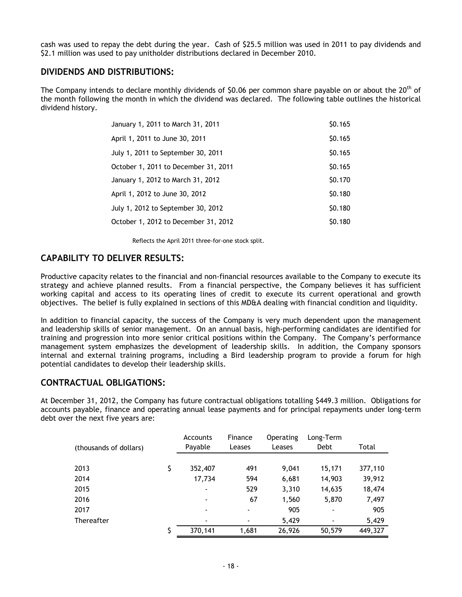cash was used to repay the debt during the year. Cash of \$25.5 million was used in 2011 to pay dividends and \$2.1 million was used to pay unitholder distributions declared in December 2010.

### **DIVIDENDS AND DISTRIBUTIONS:**

The Company intends to declare monthly dividends of \$0.06 per common share payable on or about the 20<sup>th</sup> of the month following the month in which the dividend was declared. The following table outlines the historical dividend history.

| January 1, 2011 to March 31, 2011    | \$0.165       |
|--------------------------------------|---------------|
| April 1, 2011 to June 30, 2011       | \$0.165       |
| July 1, 2011 to September 30, 2011   | \$0.165       |
| October 1, 2011 to December 31, 2011 | \$0.165       |
| January 1, 2012 to March 31, 2012    | \$0.170       |
| April 1, 2012 to June 30, 2012       | \$0.180       |
| July 1, 2012 to September 30, 2012   | \$0.180       |
| October 1, 2012 to December 31, 2012 | <b>SO.180</b> |

Reflects the April 2011 three-for-one stock split.

# **CAPABILITY TO DELIVER RESULTS:**

Productive capacity relates to the financial and non-financial resources available to the Company to execute its strategy and achieve planned results. From a financial perspective, the Company believes it has sufficient working capital and access to its operating lines of credit to execute its current operational and growth objectives. The belief is fully explained in sections of this MD&A dealing with financial condition and liquidity.

In addition to financial capacity, the success of the Company is very much dependent upon the management and leadership skills of senior management. On an annual basis, high-performing candidates are identified for training and progression into more senior critical positions within the Company. The Company's performance management system emphasizes the development of leadership skills. In addition, the Company sponsors internal and external training programs, including a Bird leadership program to provide a forum for high potential candidates to develop their leadership skills.

### **CONTRACTUAL OBLIGATIONS:**

At December 31, 2012, the Company has future contractual obligations totalling \$449.3 million. Obligations for accounts payable, finance and operating annual lease payments and for principal repayments under long-term debt over the next five years are:

| (thousands of dollars) | <b>Accounts</b><br>Payable | Finance<br>Leases        | <b>Operating</b><br>Leases | Long-Term<br>Debt | Total   |
|------------------------|----------------------------|--------------------------|----------------------------|-------------------|---------|
|                        |                            |                          |                            |                   |         |
| 2013                   | \$<br>352,407              | 491                      | 9,041                      | 15,171            | 377,110 |
| 2014                   | 17,734                     | 594                      | 6,681                      | 14,903            | 39,912  |
| 2015                   | $\overline{\phantom{a}}$   | 529                      | 3,310                      | 14,635            | 18,474  |
| 2016                   | $\blacksquare$             | 67                       | 1,560                      | 5,870             | 7,497   |
| 2017                   | $\overline{\phantom{0}}$   |                          | 905                        | $\blacksquare$    | 905     |
| Thereafter             | $\blacksquare$             | $\overline{\phantom{0}}$ | 5,429                      | $\blacksquare$    | 5,429   |
|                        | \$<br>370.141              | 1,681                    | 26,926                     | 50,579            | 449,327 |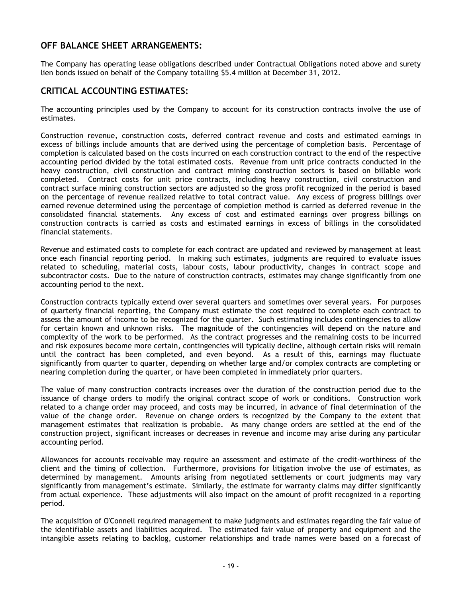# **OFF BALANCE SHEET ARRANGEMENTS:**

The Company has operating lease obligations described under Contractual Obligations noted above and surety lien bonds issued on behalf of the Company totalling \$5.4 million at December 31, 2012.

### **CRITICAL ACCOUNTING ESTIMATES:**

The accounting principles used by the Company to account for its construction contracts involve the use of estimates.

Construction revenue, construction costs, deferred contract revenue and costs and estimated earnings in excess of billings include amounts that are derived using the percentage of completion basis. Percentage of completion is calculated based on the costs incurred on each construction contract to the end of the respective accounting period divided by the total estimated costs. Revenue from unit price contracts conducted in the heavy construction, civil construction and contract mining construction sectors is based on billable work completed. Contract costs for unit price contracts, including heavy construction, civil construction and contract surface mining construction sectors are adjusted so the gross profit recognized in the period is based on the percentage of revenue realized relative to total contract value. Any excess of progress billings over earned revenue determined using the percentage of completion method is carried as deferred revenue in the consolidated financial statements. Any excess of cost and estimated earnings over progress billings on construction contracts is carried as costs and estimated earnings in excess of billings in the consolidated financial statements.

Revenue and estimated costs to complete for each contract are updated and reviewed by management at least once each financial reporting period. In making such estimates, judgments are required to evaluate issues related to scheduling, material costs, labour costs, labour productivity, changes in contract scope and subcontractor costs. Due to the nature of construction contracts, estimates may change significantly from one accounting period to the next.

Construction contracts typically extend over several quarters and sometimes over several years. For purposes of quarterly financial reporting, the Company must estimate the cost required to complete each contract to assess the amount of income to be recognized for the quarter. Such estimating includes contingencies to allow for certain known and unknown risks. The magnitude of the contingencies will depend on the nature and complexity of the work to be performed. As the contract progresses and the remaining costs to be incurred and risk exposures become more certain, contingencies will typically decline, although certain risks will remain until the contract has been completed, and even beyond. As a result of this, earnings may fluctuate significantly from quarter to quarter, depending on whether large and/or complex contracts are completing or nearing completion during the quarter, or have been completed in immediately prior quarters.

The value of many construction contracts increases over the duration of the construction period due to the issuance of change orders to modify the original contract scope of work or conditions. Construction work related to a change order may proceed, and costs may be incurred, in advance of final determination of the value of the change order. Revenue on change orders is recognized by the Company to the extent that management estimates that realization is probable. As many change orders are settled at the end of the construction project, significant increases or decreases in revenue and income may arise during any particular accounting period.

Allowances for accounts receivable may require an assessment and estimate of the credit-worthiness of the client and the timing of collection. Furthermore, provisions for litigation involve the use of estimates, as determined by management. Amounts arising from negotiated settlements or court judgments may vary significantly from management's estimate. Similarly, the estimate for warranty claims may differ significantly from actual experience. These adjustments will also impact on the amount of profit recognized in a reporting period.

The acquisition of O'Connell required management to make judgments and estimates regarding the fair value of the identifiable assets and liabilities acquired. The estimated fair value of property and equipment and the intangible assets relating to backlog, customer relationships and trade names were based on a forecast of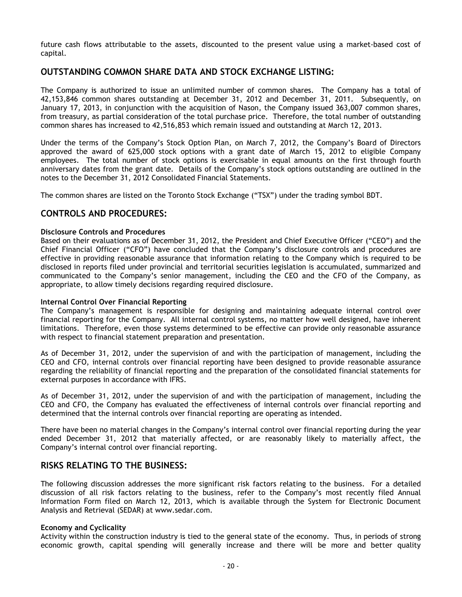future cash flows attributable to the assets, discounted to the present value using a market-based cost of capital.

# **OUTSTANDING COMMON SHARE DATA AND STOCK EXCHANGE LISTING:**

The Company is authorized to issue an unlimited number of common shares. The Company has a total of 42,153,846 common shares outstanding at December 31, 2012 and December 31, 2011. Subsequently, on January 17, 2013, in conjunction with the acquisition of Nason, the Company issued 363,007 common shares, from treasury, as partial consideration of the total purchase price. Therefore, the total number of outstanding common shares has increased to 42,516,853 which remain issued and outstanding at March 12, 2013.

Under the terms of the Company's Stock Option Plan, on March 7, 2012, the Company's Board of Directors approved the award of 625,000 stock options with a grant date of March 15, 2012 to eligible Company employees. The total number of stock options is exercisable in equal amounts on the first through fourth anniversary dates from the grant date. Details of the Company's stock options outstanding are outlined in the notes to the December 31, 2012 Consolidated Financial Statements.

The common shares are listed on the Toronto Stock Exchange ("TSX") under the trading symbol BDT.

# **CONTROLS AND PROCEDURES:**

### **Disclosure Controls and Procedures**

Based on their evaluations as of December 31, 2012, the President and Chief Executive Officer ("CEO") and the Chief Financial Officer ("CFO") have concluded that the Company's disclosure controls and procedures are effective in providing reasonable assurance that information relating to the Company which is required to be disclosed in reports filed under provincial and territorial securities legislation is accumulated, summarized and communicated to the Company's senior management, including the CEO and the CFO of the Company, as appropriate, to allow timely decisions regarding required disclosure.

#### **Internal Control Over Financial Reporting**

The Company's management is responsible for designing and maintaining adequate internal control over financial reporting for the Company. All internal control systems, no matter how well designed, have inherent limitations. Therefore, even those systems determined to be effective can provide only reasonable assurance with respect to financial statement preparation and presentation.

As of December 31, 2012, under the supervision of and with the participation of management, including the CEO and CFO, internal controls over financial reporting have been designed to provide reasonable assurance regarding the reliability of financial reporting and the preparation of the consolidated financial statements for external purposes in accordance with IFRS.

As of December 31, 2012, under the supervision of and with the participation of management, including the CEO and CFO, the Company has evaluated the effectiveness of internal controls over financial reporting and determined that the internal controls over financial reporting are operating as intended.

There have been no material changes in the Company's internal control over financial reporting during the year ended December 31, 2012 that materially affected, or are reasonably likely to materially affect, the Company's internal control over financial reporting.

# **RISKS RELATING TO THE BUSINESS:**

The following discussion addresses the more significant risk factors relating to the business. For a detailed discussion of all risk factors relating to the business, refer to the Company's most recently filed Annual Information Form filed on March 12, 2013, which is available through the System for Electronic Document Analysis and Retrieval (SEDAR) at www.sedar.com.

#### **Economy and Cyclicality**

Activity within the construction industry is tied to the general state of the economy. Thus, in periods of strong economic growth, capital spending will generally increase and there will be more and better quality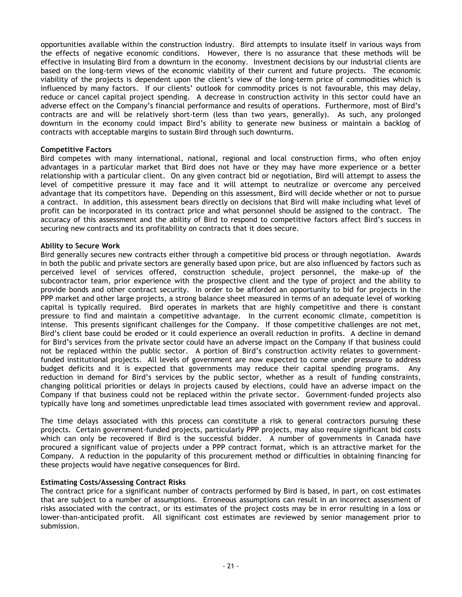opportunities available within the construction industry. Bird attempts to insulate itself in various ways from the effects of negative economic conditions. However, there is no assurance that these methods will be effective in insulating Bird from a downturn in the economy. Investment decisions by our industrial clients are based on the long-term views of the economic viability of their current and future projects. The economic viability of the projects is dependent upon the client's view of the long-term price of commodities which is influenced by many factors. If our clients' outlook for commodity prices is not favourable, this may delay, reduce or cancel capital project spending. A decrease in construction activity in this sector could have an adverse effect on the Company's financial performance and results of operations. Furthermore, most of Bird's contracts are and will be relatively short-term (less than two years, generally). As such, any prolonged downturn in the economy could impact Bird's ability to generate new business or maintain a backlog of contracts with acceptable margins to sustain Bird through such downturns.

#### **Competitive Factors**

Bird competes with many international, national, regional and local construction firms, who often enjoy advantages in a particular market that Bird does not have or they may have more experience or a better relationship with a particular client. On any given contract bid or negotiation, Bird will attempt to assess the level of competitive pressure it may face and it will attempt to neutralize or overcome any perceived advantage that its competitors have. Depending on this assessment, Bird will decide whether or not to pursue a contract. In addition, this assessment bears directly on decisions that Bird will make including what level of profit can be incorporated in its contract price and what personnel should be assigned to the contract. The accuracy of this assessment and the ability of Bird to respond to competitive factors affect Bird's success in securing new contracts and its profitability on contracts that it does secure.

### **Ability to Secure Work**

Bird generally secures new contracts either through a competitive bid process or through negotiation. Awards in both the public and private sectors are generally based upon price, but are also influenced by factors such as perceived level of services offered, construction schedule, project personnel, the make-up of the subcontractor team, prior experience with the prospective client and the type of project and the ability to provide bonds and other contract security. In order to be afforded an opportunity to bid for projects in the PPP market and other large projects, a strong balance sheet measured in terms of an adequate level of working capital is typically required. Bird operates in markets that are highly competitive and there is constant pressure to find and maintain a competitive advantage. In the current economic climate, competition is intense. This presents significant challenges for the Company. If those competitive challenges are not met, Bird's client base could be eroded or it could experience an overall reduction in profits. A decline in demand for Bird's services from the private sector could have an adverse impact on the Company if that business could not be replaced within the public sector. A portion of Bird's construction activity relates to governmentfunded institutional projects. All levels of government are now expected to come under pressure to address budget deficits and it is expected that governments may reduce their capital spending programs. Any reduction in demand for Bird's services by the public sector, whether as a result of funding constraints, changing political priorities or delays in projects caused by elections, could have an adverse impact on the Company if that business could not be replaced within the private sector. Government-funded projects also typically have long and sometimes unpredictable lead times associated with government review and approval.

The time delays associated with this process can constitute a risk to general contractors pursuing these projects. Certain government-funded projects, particularly PPP projects, may also require significant bid costs which can only be recovered if Bird is the successful bidder. A number of governments in Canada have procured a significant value of projects under a PPP contract format, which is an attractive market for the Company. A reduction in the popularity of this procurement method or difficulties in obtaining financing for these projects would have negative consequences for Bird.

### **Estimating Costs/Assessing Contract Risks**

The contract price for a significant number of contracts performed by Bird is based, in part, on cost estimates that are subject to a number of assumptions. Erroneous assumptions can result in an incorrect assessment of risks associated with the contract, or its estimates of the project costs may be in error resulting in a loss or lower-than-anticipated profit. All significant cost estimates are reviewed by senior management prior to submission.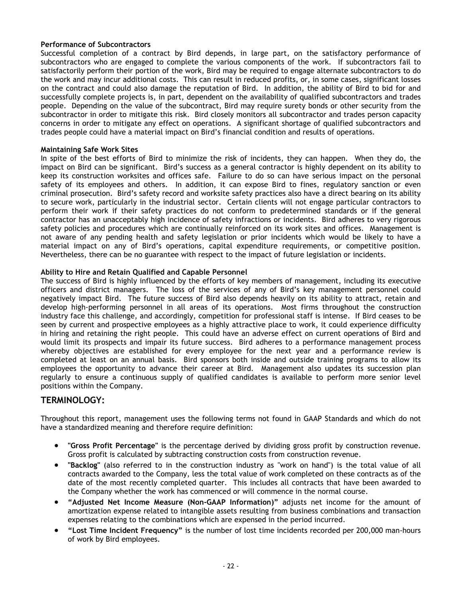### **Performance of Subcontractors**

Successful completion of a contract by Bird depends, in large part, on the satisfactory performance of subcontractors who are engaged to complete the various components of the work. If subcontractors fail to satisfactorily perform their portion of the work, Bird may be required to engage alternate subcontractors to do the work and may incur additional costs. This can result in reduced profits, or, in some cases, significant losses on the contract and could also damage the reputation of Bird. In addition, the ability of Bird to bid for and successfully complete projects is, in part, dependent on the availability of qualified subcontractors and trades people. Depending on the value of the subcontract, Bird may require surety bonds or other security from the subcontractor in order to mitigate this risk. Bird closely monitors all subcontractor and trades person capacity concerns in order to mitigate any effect on operations. A significant shortage of qualified subcontractors and trades people could have a material impact on Bird's financial condition and results of operations.

### **Maintaining Safe Work Sites**

In spite of the best efforts of Bird to minimize the risk of incidents, they can happen. When they do, the impact on Bird can be significant. Bird's success as a general contractor is highly dependent on its ability to keep its construction worksites and offices safe. Failure to do so can have serious impact on the personal safety of its employees and others. In addition, it can expose Bird to fines, regulatory sanction or even criminal prosecution. Bird's safety record and worksite safety practices also have a direct bearing on its ability to secure work, particularly in the industrial sector. Certain clients will not engage particular contractors to perform their work if their safety practices do not conform to predetermined standards or if the general contractor has an unacceptably high incidence of safety infractions or incidents. Bird adheres to very rigorous safety policies and procedures which are continually reinforced on its work sites and offices. Management is not aware of any pending health and safety legislation or prior incidents which would be likely to have a material impact on any of Bird's operations, capital expenditure requirements, or competitive position. Nevertheless, there can be no guarantee with respect to the impact of future legislation or incidents.

### **Ability to Hire and Retain Qualified and Capable Personnel**

The success of Bird is highly influenced by the efforts of key members of management, including its executive officers and district managers. The loss of the services of any of Bird's key management personnel could negatively impact Bird. The future success of Bird also depends heavily on its ability to attract, retain and develop high-performing personnel in all areas of its operations. Most firms throughout the construction industry face this challenge, and accordingly, competition for professional staff is intense. If Bird ceases to be seen by current and prospective employees as a highly attractive place to work, it could experience difficulty in hiring and retaining the right people. This could have an adverse effect on current operations of Bird and would limit its prospects and impair its future success. Bird adheres to a performance management process whereby objectives are established for every employee for the next year and a performance review is completed at least on an annual basis. Bird sponsors both inside and outside training programs to allow its employees the opportunity to advance their career at Bird. Management also updates its succession plan regularly to ensure a continuous supply of qualified candidates is available to perform more senior level positions within the Company.

### **TERMINOLOGY:**

Throughout this report, management uses the following terms not found in GAAP Standards and which do not have a standardized meaning and therefore require definition:

- **"Gross Profit Percentage"** is the percentage derived by dividing gross profit by construction revenue. Gross profit is calculated by subtracting construction costs from construction revenue.
- **"Backlog"** (also referred to in the construction industry as "work on hand") is the total value of all contracts awarded to the Company, less the total value of work completed on these contracts as of the date of the most recently completed quarter. This includes all contracts that have been awarded to the Company whether the work has commenced or will commence in the normal course.
- **"Adjusted Net Income Measure (Non-GAAP Information)"** adjusts net income for the amount of amortization expense related to intangible assets resulting from business combinations and transaction expenses relating to the combinations which are expensed in the period incurred.
- **"Lost Time Incident Frequency"** is the number of lost time incidents recorded per 200,000 man-hours of work by Bird employees.